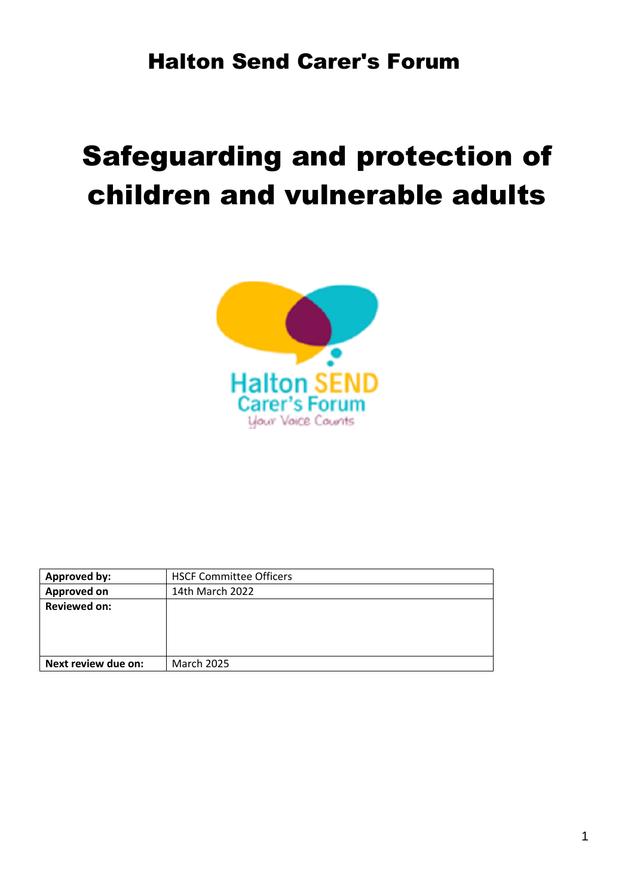# Halton Send Carer's Forum

# Safeguarding and protection of children and vulnerable adults



| Approved by:        | <b>HSCF Committee Officers</b> |
|---------------------|--------------------------------|
| Approved on         | 14th March 2022                |
| <b>Reviewed on:</b> |                                |
|                     |                                |
|                     |                                |
|                     |                                |
| Next review due on: | <b>March 2025</b>              |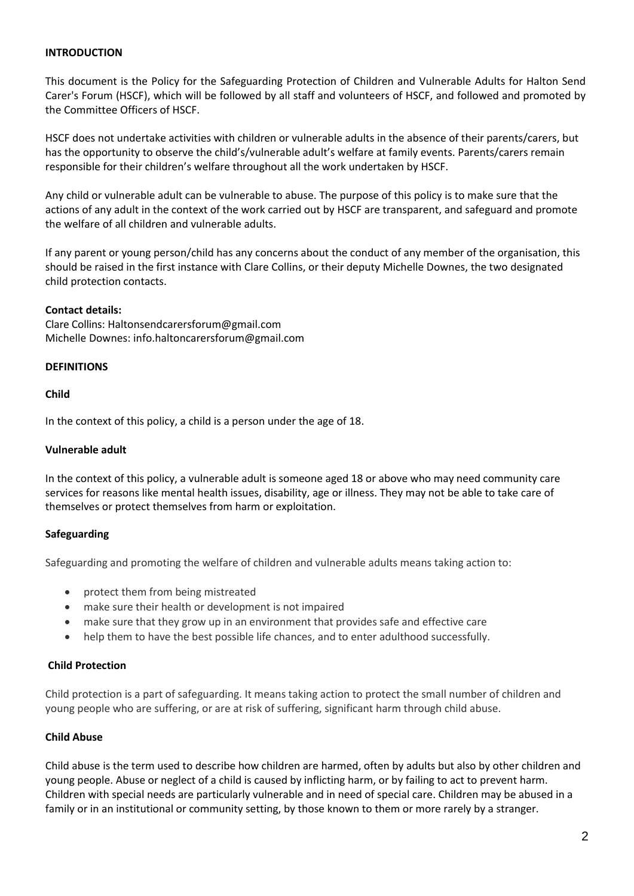### **INTRODUCTION**

This document is the Policy for the Safeguarding Protection of Children and Vulnerable Adults for Halton Send Carer's Forum (HSCF), which will be followed by all staff and volunteers of HSCF, and followed and promoted by the Committee Officers of HSCF.

HSCF does not undertake activities with children or vulnerable adults in the absence of their parents/carers, but has the opportunity to observe the child's/vulnerable adult's welfare at family events. Parents/carers remain responsible for their children's welfare throughout all the work undertaken by HSCF.

Any child or vulnerable adult can be vulnerable to abuse. The purpose of this policy is to make sure that the actions of any adult in the context of the work carried out by HSCF are transparent, and safeguard and promote the welfare of all children and vulnerable adults.

If any parent or young person/child has any concerns about the conduct of any member of the organisation, this should be raised in the first instance with Clare Collins, or their deputy Michelle Downes, the two designated child protection contacts.

#### **Contact details:**

Clare Collins: H[altonsendcarersforum@gmail.com](mailto:laura.gillespie@sheffieldparentcarerforum.org.uk) Michelle Downes: [info.haltoncarersforum@gmail](mailto:woodward@blueyonder.co.uk).com

#### **DEFINITIONS**

#### **Child**

In the context of this policy, a child is a person under the age of 18.

#### **Vulnerable adult**

In the context of this policy, a vulnerable adult is someone aged 18 or above who may need community care services for reasons like mental health issues, disability, age or illness. They may not be able to take care of themselves or protect themselves from harm or exploitation.

#### **Safeguarding**

Safeguarding and promoting the welfare of children and vulnerable adults means taking action to:

- protect them from being mistreated
- make sure their health or development is not impaired
- make sure that they grow up in an environment that provides safe and effective care
- help them to have the best possible life chances, and to enter adulthood successfully.

#### **Child Protection**

Child protection is a part of safeguarding. It means taking action to protect the small number of children and young people who are suffering, or are at risk of suffering, significant harm through child abuse.

#### **Child Abuse**

Child abuse is the term used to describe how children are harmed, often by adults but also by other children and young people. Abuse or neglect of a child is caused by inflicting harm, or by failing to act to prevent harm. Children with special needs are particularly vulnerable and in need of special care. Children may be abused in a family or in an institutional or community setting, by those known to them or more rarely by a stranger.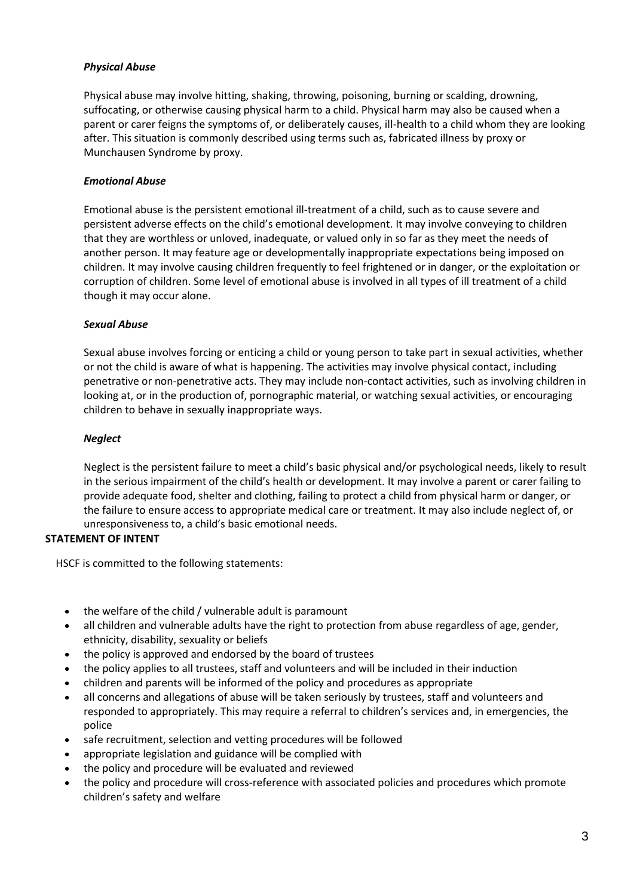# *Physical Abuse*

Physical abuse may involve hitting, shaking, throwing, poisoning, burning or scalding, drowning, suffocating, or otherwise causing physical harm to a child. Physical harm may also be caused when a parent or carer feigns the symptoms of, or deliberately causes, ill-health to a child whom they are looking after. This situation is commonly described using terms such as, fabricated illness by proxy or Munchausen Syndrome by proxy.

#### *Emotional Abuse*

Emotional abuse is the persistent emotional ill-treatment of a child, such as to cause severe and persistent adverse effects on the child's emotional development. It may involve conveying to children that they are worthless or unloved, inadequate, or valued only in so far as they meet the needs of another person. It may feature age or developmentally inappropriate expectations being imposed on children. It may involve causing children frequently to feel frightened or in danger, or the exploitation or corruption of children. Some level of emotional abuse is involved in all types of ill treatment of a child though it may occur alone.

## *Sexual Abuse*

Sexual abuse involves forcing or enticing a child or young person to take part in sexual activities, whether or not the child is aware of what is happening. The activities may involve physical contact, including penetrative or non-penetrative acts. They may include non-contact activities, such as involving children in looking at, or in the production of, pornographic material, or watching sexual activities, or encouraging children to behave in sexually inappropriate ways.

#### *Neglect*

Neglect is the persistent failure to meet a child's basic physical and/or psychological needs, likely to result in the serious impairment of the child's health or development. It may involve a parent or carer failing to provide adequate food, shelter and clothing, failing to protect a child from physical harm or danger, or the failure to ensure access to appropriate medical care or treatment. It may also include neglect of, or unresponsiveness to, a child's basic emotional needs.

## **STATEMENT OF INTENT**

HSCF is committed to the following statements:

- the welfare of the child / vulnerable adult is paramount
- all children and vulnerable adults have the right to protection from abuse regardless of age, gender, ethnicity, disability, sexuality or beliefs
- the policy is approved and endorsed by the board of trustees
- the policy applies to all trustees, staff and volunteers and will be included in their induction
- children and parents will be informed of the policy and procedures as appropriate
- all concerns and allegations of abuse will be taken seriously by trustees, staff and volunteers and responded to appropriately. This may require a referral to children's services and, in emergencies, the police
- safe recruitment, selection and vetting procedures will be followed
- appropriate legislation and guidance will be complied with
- the policy and procedure will be evaluated and reviewed
- the policy and procedure will cross-reference with associated policies and procedures which promote children's safety and welfare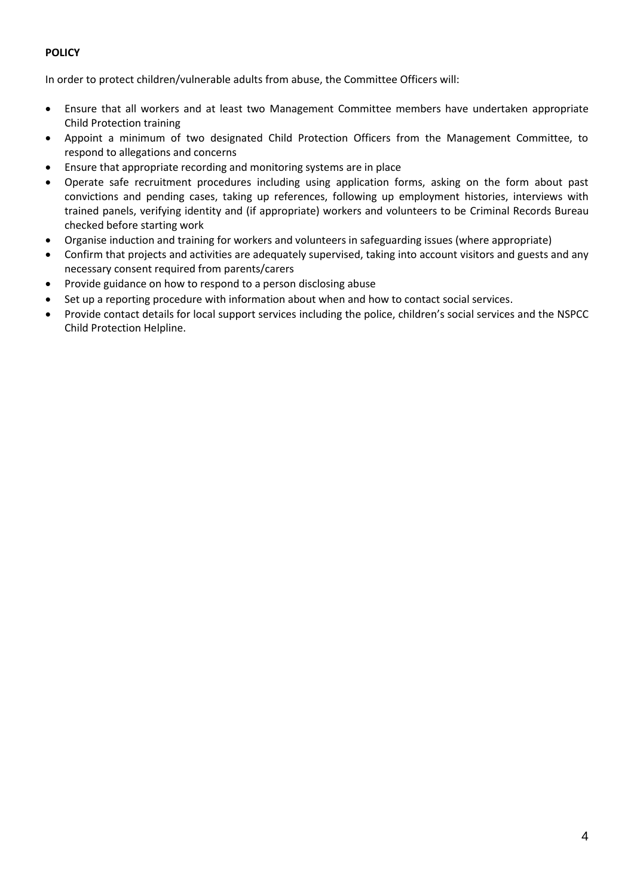# **POLICY**

In order to protect children/vulnerable adults from abuse, the Committee Officers will:

- Ensure that all workers and at least two Management Committee members have undertaken appropriate Child Protection training
- Appoint a minimum of two designated Child Protection Officers from the Management Committee, to respond to allegations and concerns
- Ensure that appropriate recording and monitoring systems are in place
- Operate safe recruitment procedures including using application forms, asking on the form about past convictions and pending cases, taking up references, following up employment histories, interviews with trained panels, verifying identity and (if appropriate) workers and volunteers to be Criminal Records Bureau checked before starting work
- Organise induction and training for workers and volunteers in safeguarding issues (where appropriate)
- Confirm that projects and activities are adequately supervised, taking into account visitors and guests and any necessary consent required from parents/carers
- Provide guidance on how to respond to a person disclosing abuse
- Set up a reporting procedure with information about when and how to contact social services.
- Provide contact details for local support services including the police, children's social services and the NSPCC Child Protection Helpline.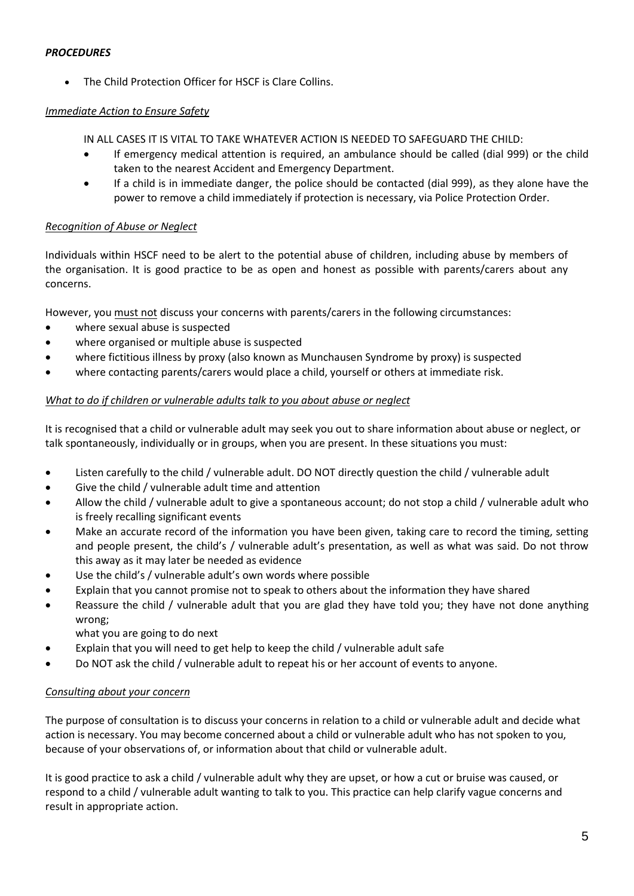# *PROCEDURES*

The Child Protection Officer for HSCF is Clare Collins.

## *Immediate Action to Ensure Safety*

IN ALL CASES IT IS VITAL TO TAKE WHATEVER ACTION IS NEEDED TO SAFEGUARD THE CHILD:

- If emergency medical attention is required, an ambulance should be called (dial 999) or the child taken to the nearest Accident and Emergency Department.
- If a child is in immediate danger, the police should be contacted (dial 999), as they alone have the power to remove a child immediately if protection is necessary, via Police Protection Order.

### *Recognition of Abuse or Neglect*

Individuals within HSCF need to be alert to the potential abuse of children, including abuse by members of the organisation. It is good practice to be as open and honest as possible with parents/carers about any concerns.

However, you must not discuss your concerns with parents/carers in the following circumstances:

- where sexual abuse is suspected
- where organised or multiple abuse is suspected
- where fictitious illness by proxy (also known as Munchausen Syndrome by proxy) is suspected
- where contacting parents/carers would place a child, yourself or others at immediate risk.

## *What to do if children or vulnerable adults talk to you about abuse or neglect*

It is recognised that a child or vulnerable adult may seek you out to share information about abuse or neglect, or talk spontaneously, individually or in groups, when you are present. In these situations you must:

- Listen carefully to the child / vulnerable adult. DO NOT directly question the child / vulnerable adult
- Give the child / vulnerable adult time and attention
- Allow the child / vulnerable adult to give a spontaneous account; do not stop a child / vulnerable adult who is freely recalling significant events
- Make an accurate record of the information you have been given, taking care to record the timing, setting and people present, the child's / vulnerable adult's presentation, as well as what was said. Do not throw this away as it may later be needed as evidence
- Use the child's / vulnerable adult's own words where possible
- Explain that you cannot promise not to speak to others about the information they have shared
- Reassure the child / vulnerable adult that you are glad they have told you; they have not done anything wrong;
	- what you are going to do next
- Explain that you will need to get help to keep the child / vulnerable adult safe
- Do NOT ask the child / vulnerable adult to repeat his or her account of events to anyone.

## *Consulting about your concern*

The purpose of consultation is to discuss your concerns in relation to a child or vulnerable adult and decide what action is necessary. You may become concerned about a child or vulnerable adult who has not spoken to you, because of your observations of, or information about that child or vulnerable adult.

It is good practice to ask a child / vulnerable adult why they are upset, or how a cut or bruise was caused, or respond to a child / vulnerable adult wanting to talk to you. This practice can help clarify vague concerns and result in appropriate action.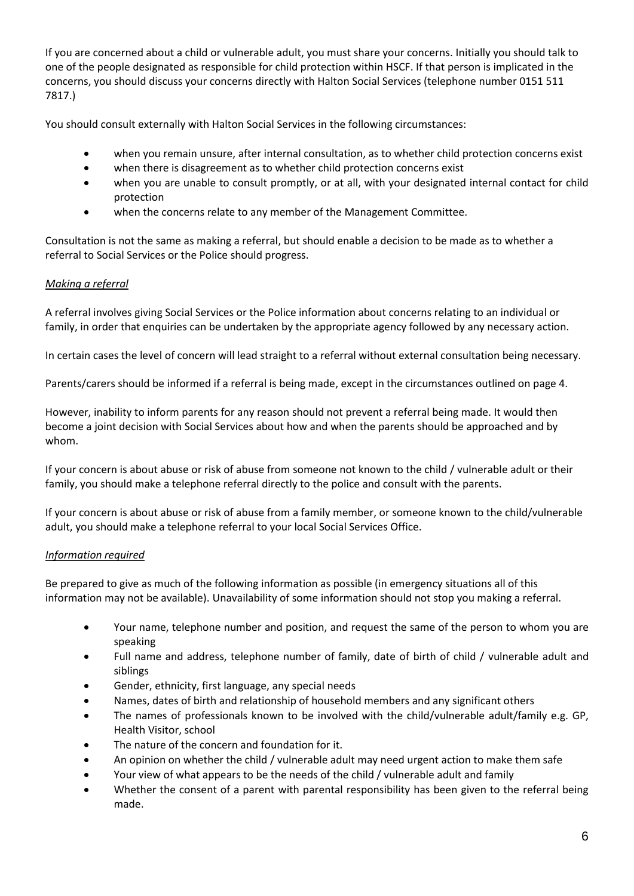If you are concerned about a child or vulnerable adult, you must share your concerns. Initially you should talk to one of the people designated as responsible for child protection within HSCF. If that person is implicated in the concerns, you should discuss your concerns directly with Halton Social Services (telephone number 0151 511 7817.)

You should consult externally with Halton Social Services in the following circumstances:

- when you remain unsure, after internal consultation, as to whether child protection concerns exist
- when there is disagreement as to whether child protection concerns exist
- when you are unable to consult promptly, or at all, with your designated internal contact for child protection
- when the concerns relate to any member of the Management Committee.

Consultation is not the same as making a referral, but should enable a decision to be made as to whether a referral to Social Services or the Police should progress.

# *Making a referral*

A referral involves giving Social Services or the Police information about concerns relating to an individual or family, in order that enquiries can be undertaken by the appropriate agency followed by any necessary action.

In certain cases the level of concern will lead straight to a referral without external consultation being necessary.

Parents/carers should be informed if a referral is being made, except in the circumstances outlined on page 4.

However, inability to inform parents for any reason should not prevent a referral being made. It would then become a joint decision with Social Services about how and when the parents should be approached and by whom.

If your concern is about abuse or risk of abuse from someone not known to the child / vulnerable adult or their family, you should make a telephone referral directly to the police and consult with the parents.

If your concern is about abuse or risk of abuse from a family member, or someone known to the child/vulnerable adult, you should make a telephone referral to your local Social Services Office.

## *Information required*

Be prepared to give as much of the following information as possible (in emergency situations all of this information may not be available). Unavailability of some information should not stop you making a referral.

- Your name, telephone number and position, and request the same of the person to whom you are speaking
- Full name and address, telephone number of family, date of birth of child / vulnerable adult and siblings
- Gender, ethnicity, first language, any special needs
- Names, dates of birth and relationship of household members and any significant others
- The names of professionals known to be involved with the child/vulnerable adult/family e.g. GP, Health Visitor, school
- The nature of the concern and foundation for it.
- An opinion on whether the child / vulnerable adult may need urgent action to make them safe
- Your view of what appears to be the needs of the child / vulnerable adult and family
- Whether the consent of a parent with parental responsibility has been given to the referral being made.